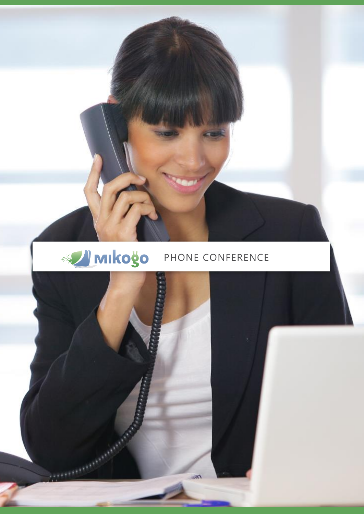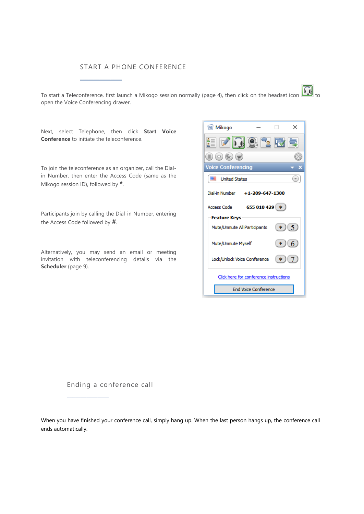## START A PHONE CONFERENCE

To start a Teleconference, first launch a Mikogo session normally (page 4), then click on the headset icon  $\Box$  to open the Voice Conferencing drawer.

Next, select Telephone, then click **Start Voice Conference** to initiate the teleconference.

**\_\_\_\_\_\_\_\_\_\_\_\_\_\_\_**

To join the teleconference as an organizer, call the Dialin Number, then enter the Access Code (same as the Mikogo session ID), followed by **\***.

Participants join by calling the Dial-in Number, entering the Access Code followed by **#**.

Alternatively, you may send an email or meeting invitation with teleconferencing details via the **Scheduler** (page 9).



Ending a conference call

**\_\_\_\_\_\_\_\_\_\_\_\_\_\_\_**

When you have finished your conference call, simply hang up. When the last person hangs up, the conference call ends automatically.